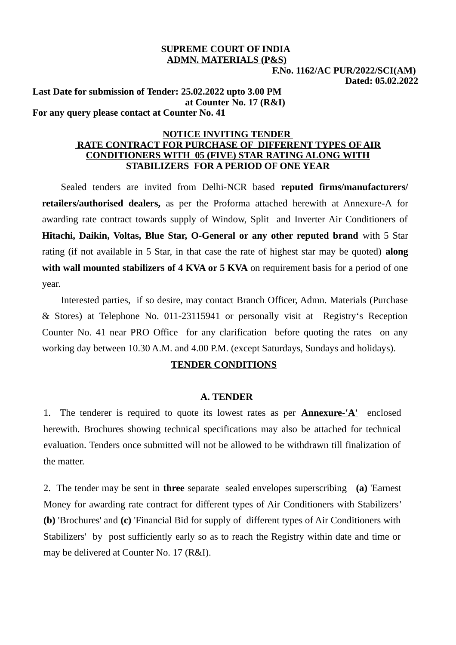### **SUPREME COURT OF INDIA ADMN. MATERIALS (P&S)**

 **F.No. 1162/AC PUR/2022/SCI(AM) Dated: 05.02.2022**

**Last Date for submission of Tender: 25.02.2022 upto 3.00 PM at Counter No. 17 (R&I) For any query please contact at Counter No. 41**

#### **NOTICE INVITING TENDER RATE CONTRACT FOR PURCHASE OF DIFFERENT TYPES OF AIR CONDITIONERS WITH 05 (FIVE) STAR RATING ALONG WITH STABILIZERS FOR A PERIOD OF ONE YEAR**

Sealed tenders are invited from Delhi-NCR based **reputed firms/manufacturers/ retailers/authorised dealers,** as per the Proforma attached herewith at Annexure-A for awarding rate contract towards supply of Window, Split and Inverter Air Conditioners of **Hitachi, Daikin, Voltas, Blue Star, O-General or any other reputed brand** with 5 Star rating (if not available in 5 Star, in that case the rate of highest star may be quoted) **along** with wall mounted stabilizers of 4 KVA or 5 KVA on requirement basis for a period of one year.

Interested parties, if so desire, may contact Branch Officer, Admn. Materials (Purchase & Stores) at Telephone No. 011-23115941 or personally visit at Registry's Reception Counter No. 41 near PRO Office for any clarification before quoting the rates on any working day between 10.30 A.M. and 4.00 P.M. (except Saturdays, Sundays and holidays).

### **TENDER CONDITIONS**

#### **A. TENDER**

1. The tenderer is required to quote its lowest rates as per **Annexure-'A'** enclosed herewith. Brochures showing technical specifications may also be attached for technical evaluation. Tenders once submitted will not be allowed to be withdrawn till finalization of the matter.

2. The tender may be sent in **three** separate sealed envelopes superscribing **(a)** 'Earnest Money for awarding rate contract for different types of Air Conditioners with Stabilizers' **(b)** 'Brochures' and **(c)** 'Financial Bid for supply of different types of Air Conditioners with Stabilizers' by post sufficiently early so as to reach the Registry within date and time or may be delivered at Counter No. 17 (R&I).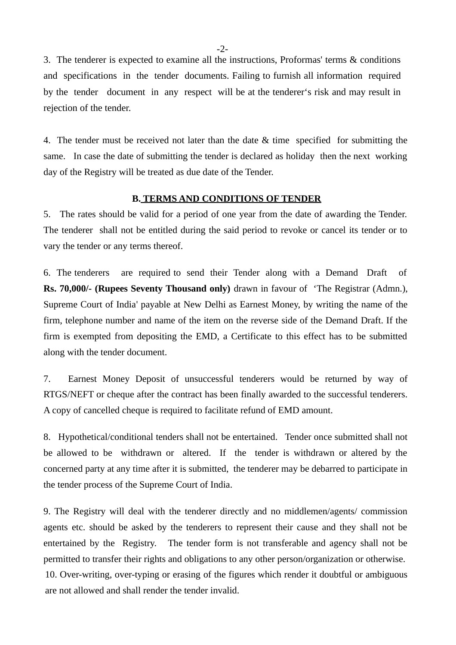3. The tenderer is expected to examine all the instructions, Proformas' terms & conditions and specifications in the tender documents. Failing to furnish all information required by the tender document in any respect will be at the tenderer's risk and may result in rejection of the tender.

4. The tender must be received not later than the date & time specified for submitting the same. In case the date of submitting the tender is declared as holiday then the next working day of the Registry will be treated as due date of the Tender.

#### **B. TERMS AND CONDITIONS OF TENDER**

5. The rates should be valid for a period of one year from the date of awarding the Tender. The tenderer shall not be entitled during the said period to revoke or cancel its tender or to vary the tender or any terms thereof.

6. The tenderers are required to send their Tender along with a Demand Draft of **Rs. 70,000/- (Rupees Seventy Thousand only)** drawn in favour of 'The Registrar (Admn.), Supreme Court of India' payable at New Delhi as Earnest Money, by writing the name of the firm, telephone number and name of the item on the reverse side of the Demand Draft. If the firm is exempted from depositing the EMD, a Certificate to this effect has to be submitted along with the tender document.

7. Earnest Money Deposit of unsuccessful tenderers would be returned by way of RTGS/NEFT or cheque after the contract has been finally awarded to the successful tenderers. A copy of cancelled cheque is required to facilitate refund of EMD amount.

8. Hypothetical/conditional tenders shall not be entertained. Tender once submitted shall not be allowed to be withdrawn or altered. If the tender is withdrawn or altered by the concerned party at any time after it is submitted, the tenderer may be debarred to participate in the tender process of the Supreme Court of India.

9. The Registry will deal with the tenderer directly and no middlemen/agents/ commission agents etc. should be asked by the tenderers to represent their cause and they shall not be entertained by the Registry. The tender form is not transferable and agency shall not be permitted to transfer their rights and obligations to any other person/organization or otherwise. 10. Over-writing, over-typing or erasing of the figures which render it doubtful or ambiguous are not allowed and shall render the tender invalid.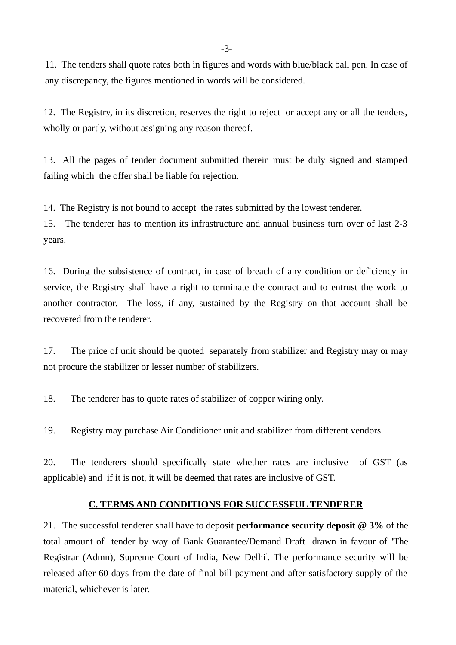11. The tenders shall quote rates both in figures and words with blue/black ball pen. In case of any discrepancy, the figures mentioned in words will be considered.

12. The Registry, in its discretion, reserves the right to reject or accept any or all the tenders, wholly or partly, without assigning any reason thereof.

13. All the pages of tender document submitted therein must be duly signed and stamped failing which the offer shall be liable for rejection.

14. The Registry is not bound to accept the rates submitted by the lowest tenderer.

15. The tenderer has to mention its infrastructure and annual business turn over of last 2-3 years.

16. During the subsistence of contract, in case of breach of any condition or deficiency in service, the Registry shall have a right to terminate the contract and to entrust the work to another contractor. The loss, if any, sustained by the Registry on that account shall be recovered from the tenderer.

17. The price of unit should be quoted separately from stabilizer and Registry may or may not procure the stabilizer or lesser number of stabilizers.

18. The tenderer has to quote rates of stabilizer of copper wiring only.

19. Registry may purchase Air Conditioner unit and stabilizer from different vendors.

20. The tenderers should specifically state whether rates are inclusive of GST (as applicable) and if it is not, it will be deemed that rates are inclusive of GST.

### **C. TERMS AND CONDITIONS FOR SUCCESSFUL TENDERER**

21. The successful tenderer shall have to deposit **performance security deposit @ 3%** of the total amount of tender by way of Bank Guarantee/Demand Draft drawn in favour of 'The Registrar (Admn), Supreme Court of India, New Delhi' . The performance security will be released after 60 days from the date of final bill payment and after satisfactory supply of the material, whichever is later.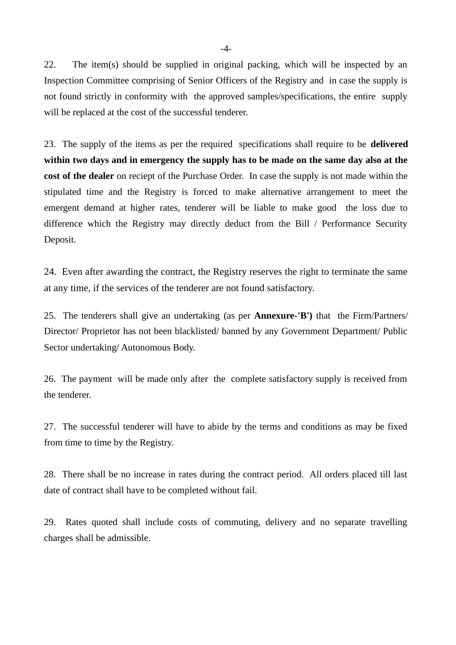22. The item(s) should be supplied in original packing, which will be inspected by an Inspection Committee comprising of Senior Officers of the Registry and in case the supply is not found strictly in conformity with the approved samples/specifications, the entire supply will be replaced at the cost of the successful tenderer.

23. The supply of the items as per the required specifications shall require to be **delivered within two days and in emergency the supply has to be made on the same day also at the cost of the dealer** on reciept of the Purchase Order. In case the supply is not made within the stipulated time and the Registry is forced to make alternative arrangement to meet the emergent demand at higher rates, tenderer will be liable to make good the loss due to difference which the Registry may directly deduct from the Bill / Performance Security Deposit.

24. Even after awarding the contract, the Registry reserves the right to terminate the same at any time, if the services of the tenderer are not found satisfactory.

25. The tenderers shall give an undertaking (as per **Annexure-'B')** that the Firm/Partners/ Director/ Proprietor has not been blacklisted/ banned by any Government Department/ Public Sector undertaking/ Autonomous Body.

26. The payment will be made only after the complete satisfactory supply is received from the tenderer.

27. The successful tenderer will have to abide by the terms and conditions as may be fixed from time to time by the Registry.

28. There shall be no increase in rates during the contract period. All orders placed till last date of contract shall have to be completed without fail.

29. Rates quoted shall include costs of commuting, delivery and no separate travelling charges shall be admissible.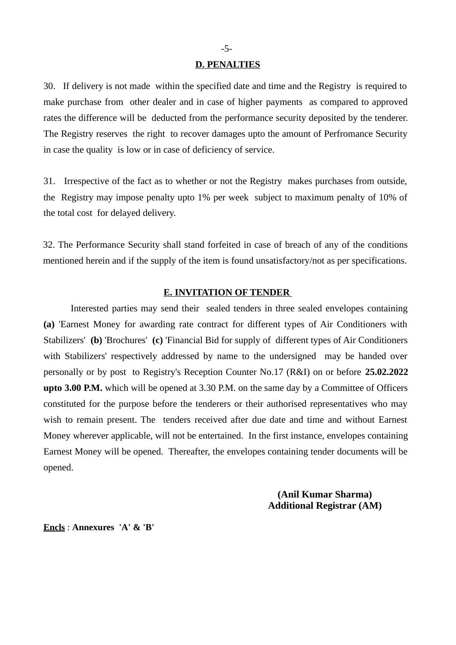#### **D. PENALTIES**

30. If delivery is not made within the specified date and time and the Registry is required to make purchase from other dealer and in case of higher payments as compared to approved rates the difference will be deducted from the performance security deposited by the tenderer. The Registry reserves the right to recover damages upto the amount of Perfromance Security in case the quality is low or in case of deficiency of service.

31. Irrespective of the fact as to whether or not the Registry makes purchases from outside, the Registry may impose penalty upto 1% per week subject to maximum penalty of 10% of the total cost for delayed delivery.

32. The Performance Security shall stand forfeited in case of breach of any of the conditions mentioned herein and if the supply of the item is found unsatisfactory/not as per specifications.

#### **E. INVITATION OF TENDER**

Interested parties may send their sealed tenders in three sealed envelopes containing **(a)** 'Earnest Money for awarding rate contract for different types of Air Conditioners with Stabilizers' **(b)** 'Brochures' **(c)** 'Financial Bid for supply of different types of Air Conditioners with Stabilizers' respectively addressed by name to the undersigned may be handed over personally or by post to Registry's Reception Counter No.17 (R&I) on or before **25.02.2022 upto 3.00 P.M.** which will be opened at 3.30 P.M. on the same day by a Committee of Officers constituted for the purpose before the tenderers or their authorised representatives who may wish to remain present. The tenders received after due date and time and without Earnest Money wherever applicable, will not be entertained. In the first instance, envelopes containing Earnest Money will be opened. Thereafter, the envelopes containing tender documents will be opened.

> **(Anil Kumar Sharma) Additional Registrar (AM)**

**Encls** : **Annexures 'A' & 'B'**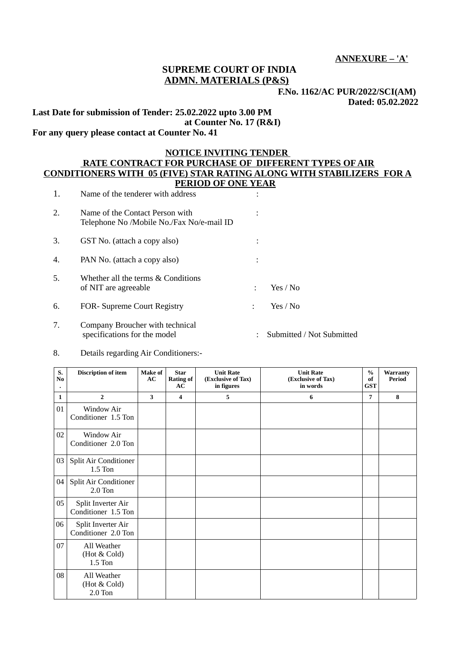**ANNEXURE – 'A'**

### **SUPREME COURT OF INDIA ADMN. MATERIALS (P&S)**

**F.No. 1162/AC PUR/2022/SCI(AM)** 

 **Dated: 05.02.2022**

**Last Date for submission of Tender: 25.02.2022 upto 3.00 PM at Counter No. 17 (R&I)**

# **For any query please contact at Counter No. 41**

#### **NOTICE INVITING TENDER RATE CONTRACT FOR PURCHASE OF DIFFERENT TYPES OF AIR CONDITIONERS WITH 05 (FIVE) STAR RATING ALONG WITH STABILIZERS FOR A PERIOD OF ONE YEAR**

| 1. | Name of the tenderer with address                                            |          |  |
|----|------------------------------------------------------------------------------|----------|--|
| 2. | Name of the Contact Person with<br>Telephone No /Mobile No./Fax No/e-mail ID |          |  |
| 3. | GST No. (attach a copy also)                                                 |          |  |
| 4. | PAN No. (attach a copy also)                                                 |          |  |
| 5. | Whether all the terms & Conditions<br>of NIT are agreeable                   | Yes / No |  |
| 6. | <b>FOR-</b> Supreme Court Registry                                           | Yes / No |  |
|    | Company Broucher with technical                                              |          |  |

specifications for the model : Submitted / Not Submitted

8. Details regarding Air Conditioners:-

| S.<br>No | <b>Discription of item</b>                | <b>Make of</b><br>AC | <b>Star</b><br><b>Rating of</b><br>AC | <b>Unit Rate</b><br>(Exclusive of Tax)<br>in figures | <b>Unit Rate</b><br>(Exclusive of Tax)<br>in words | $\frac{0}{0}$<br>of<br><b>GST</b> | <b>Warranty</b><br>Period |
|----------|-------------------------------------------|----------------------|---------------------------------------|------------------------------------------------------|----------------------------------------------------|-----------------------------------|---------------------------|
| 1        | $\overline{2}$                            | 3                    | 4                                     | 5.                                                   | 6                                                  | 7                                 | 8                         |
| 01       | Window Air<br>Conditioner 1.5 Ton         |                      |                                       |                                                      |                                                    |                                   |                           |
| 02       | Window Air<br>Conditioner 2.0 Ton         |                      |                                       |                                                      |                                                    |                                   |                           |
| 03       | <b>Split Air Conditioner</b><br>$1.5$ Ton |                      |                                       |                                                      |                                                    |                                   |                           |
| 04       | Split Air Conditioner<br>$2.0$ Ton        |                      |                                       |                                                      |                                                    |                                   |                           |
| 05       | Split Inverter Air<br>Conditioner 1.5 Ton |                      |                                       |                                                      |                                                    |                                   |                           |
| 06       | Split Inverter Air<br>Conditioner 2.0 Ton |                      |                                       |                                                      |                                                    |                                   |                           |
| 07       | All Weather<br>(Hot & Cold)<br>$1.5$ Ton  |                      |                                       |                                                      |                                                    |                                   |                           |
| 08       | All Weather<br>(Hot & Cold)<br>$2.0$ Ton  |                      |                                       |                                                      |                                                    |                                   |                           |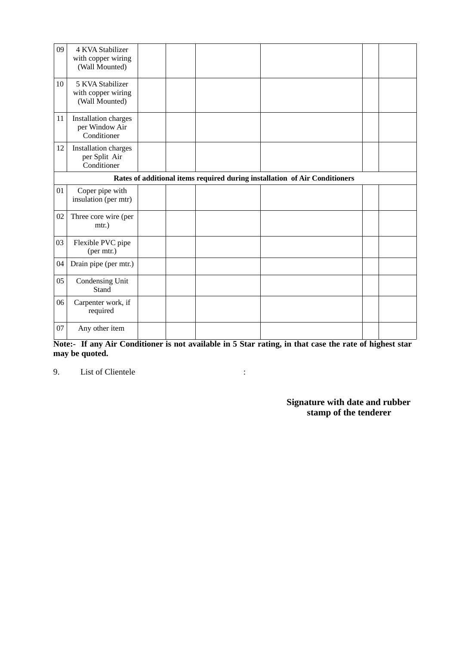| 09 | 4 KVA Stabilizer<br>with copper wiring<br>(Wall Mounted)                   |  |  |  |  |  |  |  |
|----|----------------------------------------------------------------------------|--|--|--|--|--|--|--|
| 10 | 5 KVA Stabilizer<br>with copper wiring<br>(Wall Mounted)                   |  |  |  |  |  |  |  |
| 11 | Installation charges<br>per Window Air<br>Conditioner                      |  |  |  |  |  |  |  |
| 12 | <b>Installation charges</b><br>per Split Air<br>Conditioner                |  |  |  |  |  |  |  |
|    | Rates of additional items required during installation of Air Conditioners |  |  |  |  |  |  |  |
| 01 | Coper pipe with<br>insulation (per mtr)                                    |  |  |  |  |  |  |  |
| 02 | Three core wire (per<br>mtr.)                                              |  |  |  |  |  |  |  |
| 03 | Flexible PVC pipe<br>(per mtr.)                                            |  |  |  |  |  |  |  |
| 04 | Drain pipe (per mtr.)                                                      |  |  |  |  |  |  |  |
| 05 | <b>Condensing Unit</b><br>Stand                                            |  |  |  |  |  |  |  |
| 06 | Carpenter work, if<br>required                                             |  |  |  |  |  |  |  |
| 07 | Any other item                                                             |  |  |  |  |  |  |  |

**Note:- If any Air Conditioner is not available in 5 Star rating, in that case the rate of highest star may be quoted.**

9. List of Clientele : the state of  $\mathcal{L}$ 

 **Signature with date and rubber stamp of the tenderer**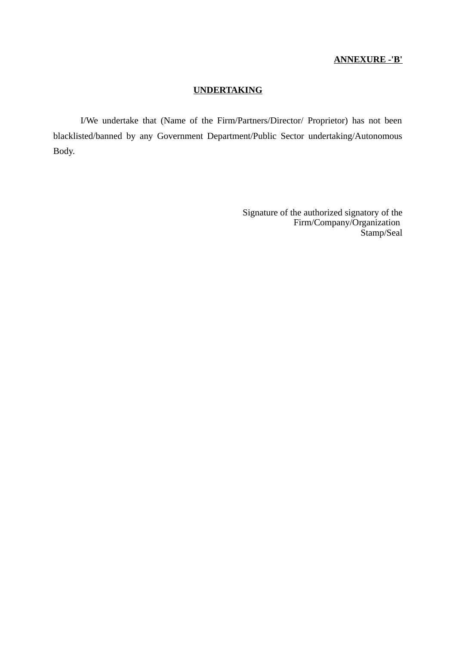### **ANNEXURE -'B'**

### **UNDERTAKING**

I/We undertake that (Name of the Firm/Partners/Director/ Proprietor) has not been blacklisted/banned by any Government Department/Public Sector undertaking/Autonomous Body.

> Signature of the authorized signatory of the Firm/Company/Organization Stamp/Seal